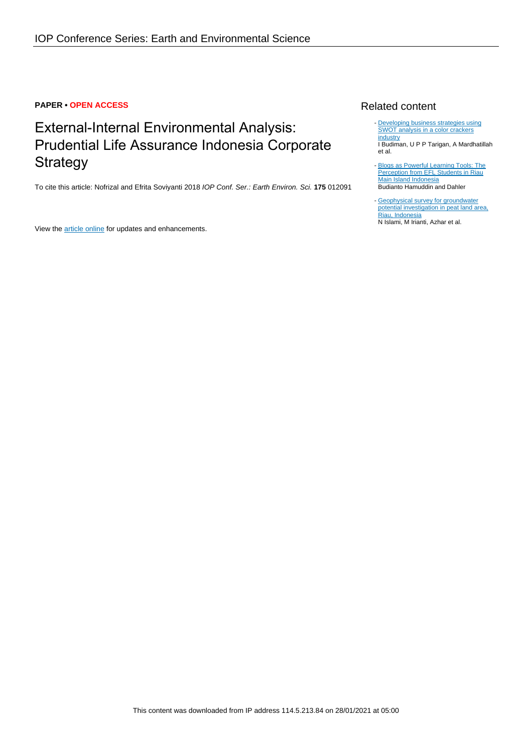## **PAPER • OPEN ACCESS**

# External-Internal Environmental Analysis: Prudential Life Assurance Indonesia Corporate **Strategy**

To cite this article: Nofrizal and Efrita Soviyanti 2018 IOP Conf. Ser.: Earth Environ. Sci. **175** 012091

View the **[article online](https://doi.org/10.1088/1755-1315/175/1/012091)** for updates and enhancements.

## Related content

- [Developing business strategies using](/article/10.1088/1742-6596/1007/1/012023) [SWOT analysis in a color crackers](/article/10.1088/1742-6596/1007/1/012023) **[industry](/article/10.1088/1742-6596/1007/1/012023)** I Budiman, U P P Tarigan, A Mardhatillah et al.
- [Blogs as Powerful Learning Tools: The](/article/10.1088/1755-1315/156/1/012060) [Perception from EFL Students in Riau](/article/10.1088/1755-1315/156/1/012060) [Main Island Indonesia](/article/10.1088/1755-1315/156/1/012060) Budianto Hamuddin and Dahler -
- [Geophysical survey for groundwater](/article/10.1088/1755-1315/144/1/012001) [potential investigation in peat land area,](/article/10.1088/1755-1315/144/1/012001) [Riau, Indonesia](/article/10.1088/1755-1315/144/1/012001) N Islami, M Irianti, Azhar et al.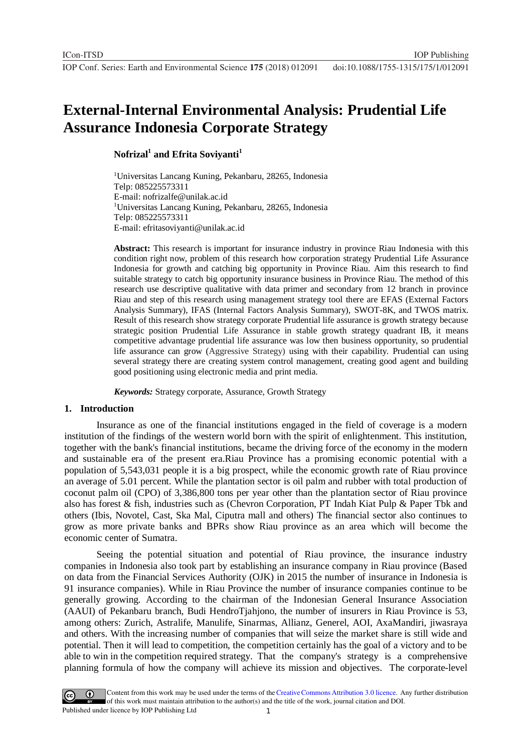## **External-Internal Environmental Analysis: Prudential Life Assurance Indonesia Corporate Strategy**

**Nofrizal<sup>1</sup> and Efrita Soviyanti<sup>1</sup>**

<sup>1</sup>Universitas Lancang Kuning, Pekanbaru, 28265, Indonesia Telp: 085225573311 E-mail: nofrizalfe@unilak.ac.id <sup>1</sup>Universitas Lancang Kuning, Pekanbaru, 28265, Indonesia Telp: 085225573311 E-mail: efritasoviyanti@unilak.ac.id

**Abstract:** This research is important for insurance industry in province Riau Indonesia with this condition right now, problem of this research how corporation strategy Prudential Life Assurance Indonesia for growth and catching big opportunity in Province Riau. Aim this research to find suitable strategy to catch big opportunity insurance business in Province Riau. The method of this research use descriptive qualitative with data primer and secondary from 12 branch in province Riau and step of this research using management strategy tool there are EFAS (External Factors Analysis Summary), IFAS (Internal Factors Analysis Summary), SWOT-8K, and TWOS matrix. Result of this research show strategy corporate Prudential life assurance is growth strategy because strategic position Prudential Life Assurance in stable growth strategy quadrant IB, it means competitive advantage prudential life assurance was low then business opportunity, so prudential life assurance can grow (Aggressive Strategy) using with their capability. Prudential can using several strategy there are creating system control management, creating good agent and building good positioning using electronic media and print media.

*Keywords:* Strategy corporate, Assurance, Growth Strategy

## **1. Introduction**

Insurance as one of the financial institutions engaged in the field of coverage is a modern institution of the findings of the western world born with the spirit of enlightenment. This institution, together with the bank's financial institutions, became the driving force of the economy in the modern and sustainable era of the present era.Riau Province has a promising economic potential with a population of 5,543,031 people it is a big prospect, while the economic growth rate of Riau province an average of 5.01 percent. While the plantation sector is oil palm and rubber with total production of coconut palm oil (CPO) of 3,386,800 tons per year other than the plantation sector of Riau province also has forest & fish, industries such as (Chevron Corporation, PT Indah Kiat Pulp & Paper Tbk and others (Ibis, Novotel, Cast, Ska Mal, Ciputra mall and others) The financial sector also continues to grow as more private banks and BPRs show Riau province as an area which will become the economic center of Sumatra.

Seeing the potential situation and potential of Riau province, the insurance industry companies in Indonesia also took part by establishing an insurance company in Riau province (Based on data from the Financial Services Authority (OJK) in 2015 the number of insurance in Indonesia is 91 insurance companies). While in Riau Province the number of insurance companies continue to be generally growing. According to the chairman of the Indonesian General Insurance Association (AAUI) of Pekanbaru branch, Budi HendroTjahjono, the number of insurers in Riau Province is 53, among others: Zurich, Astralife, Manulife, Sinarmas, Allianz, Generel, AOI, AxaMandiri, jiwasraya and others. With the increasing number of companies that will seize the market share is still wide and potential. Then it will lead to competition, the competition certainly has the goal of a victory and to be able to win in the competition required strategy. That the company's strategy is a comprehensive planning formula of how the company will achieve its mission and objectives. The corporate-level

1 Content from this work may be used under the terms of the[Creative Commons Attribution 3.0 licence.](http://creativecommons.org/licenses/by/3.0) Any further distribution of this work must maintain attribution to the author(s) and the title of the work, journal citation and DOI. Published under licence by IOP Publishing Ltd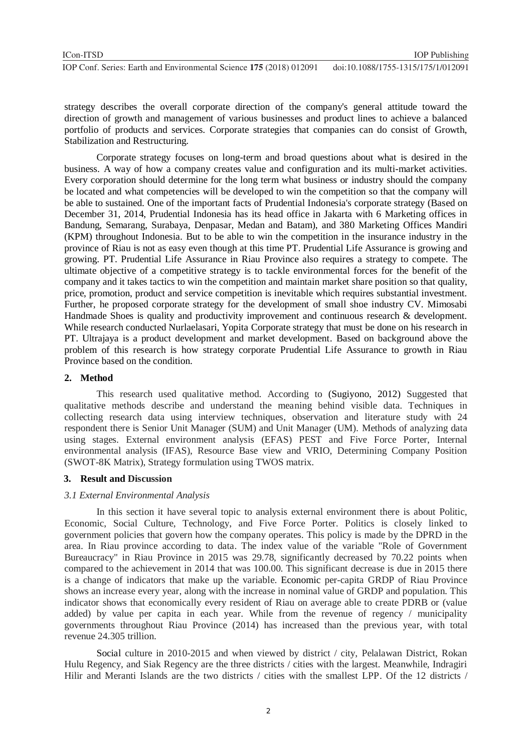strategy describes the overall corporate direction of the company's general attitude toward the direction of growth and management of various businesses and product lines to achieve a balanced portfolio of products and services. Corporate strategies that companies can do consist of Growth, Stabilization and Restructuring.

Corporate strategy focuses on long-term and broad questions about what is desired in the business. A way of how a company creates value and configuration and its multi-market activities. Every corporation should determine for the long term what business or industry should the company be located and what competencies will be developed to win the competition so that the company will be able to sustained. One of the important facts of Prudential Indonesia's corporate strategy (Based on December 31, 2014, Prudential Indonesia has its head office in Jakarta with 6 Marketing offices in Bandung, Semarang, Surabaya, Denpasar, Medan and Batam), and 380 Marketing Offices Mandiri (KPM) throughout Indonesia. But to be able to win the competition in the insurance industry in the province of Riau is not as easy even though at this time PT. Prudential Life Assurance is growing and growing. PT. Prudential Life Assurance in Riau Province also requires a strategy to compete. The ultimate objective of a competitive strategy is to tackle environmental forces for the benefit of the company and it takes tactics to win the competition and maintain market share position so that quality, price, promotion, product and service competition is inevitable which requires substantial investment. Further, he proposed corporate strategy for the development of small shoe industry CV. Mimosabi Handmade Shoes is quality and productivity improvement and continuous research & development. While research conducted Nurlaelasari, Yopita Corporate strategy that must be done on his research in PT. Ultrajaya is a product development and market development. Based on background above the problem of this research is how strategy corporate Prudential Life Assurance to growth in Riau Province based on the condition.

## **2. Method**

This research used qualitative method. According to (Sugiyono, 2012) Suggested that qualitative methods describe and understand the meaning behind visible data. Techniques in collecting research data using interview techniques, observation and literature study with 24 respondent there is Senior Unit Manager (SUM) and Unit Manager (UM). Methods of analyzing data using stages. External environment analysis (EFAS) PEST and Five Force Porter, Internal environmental analysis (IFAS), Resource Base view and VRIO, Determining Company Position (SWOT-8K Matrix), Strategy formulation using TWOS matrix.

### **3. Result and Discussion**

### *3.1 External Environmental Analysis*

In this section it have several topic to analysis external environment there is about Politic, Economic, Social Culture, Technology, and Five Force Porter. Politics is closely linked to government policies that govern how the company operates. This policy is made by the DPRD in the area. In Riau province according to data. The index value of the variable "Role of Government Bureaucracy" in Riau Province in 2015 was 29.78, significantly decreased by 70.22 points when compared to the achievement in 2014 that was 100.00. This significant decrease is due in 2015 there is a change of indicators that make up the variable. Economic per-capita GRDP of Riau Province shows an increase every year, along with the increase in nominal value of GRDP and population. This indicator shows that economically every resident of Riau on average able to create PDRB or (value added) by value per capita in each year. While from the revenue of regency / municipality governments throughout Riau Province (2014) has increased than the previous year, with total revenue 24.305 trillion.

Social culture in 2010-2015 and when viewed by district / city, Pelalawan District, Rokan Hulu Regency, and Siak Regency are the three districts / cities with the largest. Meanwhile, Indragiri Hilir and Meranti Islands are the two districts / cities with the smallest LPP. Of the 12 districts /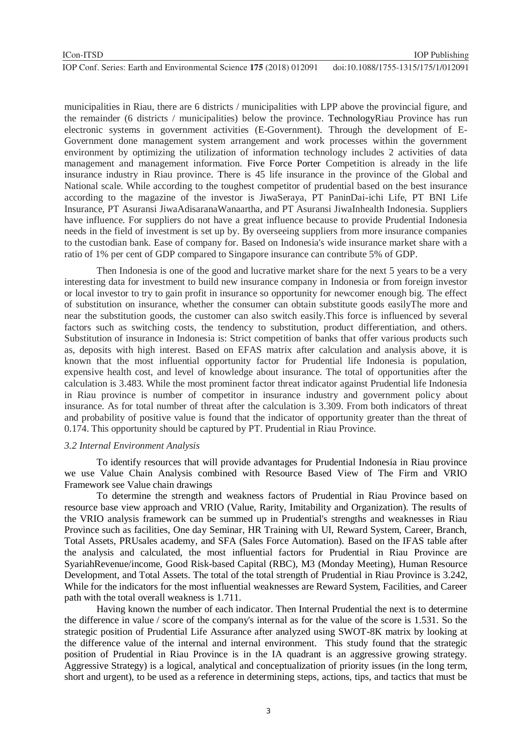**1234567890** ''"" IOP Conf. Series: Earth and Environmental Science **175** (2018) 012091 doi :10.1088/1755-1315/175/1/012091

municipalities in Riau, there are 6 districts / municipalities with LPP above the provincial figure, and the remainder (6 districts / municipalities) below the province. TechnologyRiau Province has run electronic systems in government activities (E-Government). Through the development of E-Government done management system arrangement and work processes within the government environment by optimizing the utilization of information technology includes 2 activities of data management and management information. Five Force Porter Competition is already in the life insurance industry in Riau province. There is 45 life insurance in the province of the Global and National scale. While according to the toughest competitor of prudential based on the best insurance according to the magazine of the investor is JiwaSeraya, PT PaninDai-ichi Life, PT BNI Life Insurance, PT Asuransi JiwaAdisaranaWanaartha, and PT Asuransi JiwaInhealth Indonesia. Suppliers have influence. For suppliers do not have a great influence because to provide Prudential Indonesia needs in the field of investment is set up by. By overseeing suppliers from more insurance companies to the custodian bank. Ease of company for. Based on Indonesia's wide insurance market share with a ratio of 1% per cent of GDP compared to Singapore insurance can contribute 5% of GDP.

Then Indonesia is one of the good and lucrative market share for the next 5 years to be a very interesting data for investment to build new insurance company in Indonesia or from foreign investor or local investor to try to gain profit in insurance so opportunity for newcomer enough big. The effect of substitution on insurance, whether the consumer can obtain substitute goods easilyThe more and near the substitution goods, the customer can also switch easily.This force is influenced by several factors such as switching costs, the tendency to substitution, product differentiation, and others. Substitution of insurance in Indonesia is: Strict competition of banks that offer various products such as, deposits with high interest. Based on EFAS matrix after calculation and analysis above, it is known that the most influential opportunity factor for Prudential life Indonesia is population, expensive health cost, and level of knowledge about insurance. The total of opportunities after the calculation is 3.483. While the most prominent factor threat indicator against Prudential life Indonesia in Riau province is number of competitor in insurance industry and government policy about insurance. As for total number of threat after the calculation is 3.309. From both indicators of threat and probability of positive value is found that the indicator of opportunity greater than the threat of 0.174. This opportunity should be captured by PT. Prudential in Riau Province.

#### *3.2 Internal Environment Analysis*

To identify resources that will provide advantages for Prudential Indonesia in Riau province we use Value Chain Analysis combined with Resource Based View of The Firm and VRIO Framework see Value chain drawings

To determine the strength and weakness factors of Prudential in Riau Province based on resource base view approach and VRIO (Value, Rarity, Imitability and Organization). The results of the VRIO analysis framework can be summed up in Prudential's strengths and weaknesses in Riau Province such as facilities, One day Seminar, HR Training with UI, Reward System, Career, Branch, Total Assets, PRUsales academy, and SFA (Sales Force Automation). Based on the IFAS table after the analysis and calculated, the most influential factors for Prudential in Riau Province are SyariahRevenue/income, Good Risk-based Capital (RBC), M3 (Monday Meeting), Human Resource Development, and Total Assets. The total of the total strength of Prudential in Riau Province is 3.242, While for the indicators for the most influential weaknesses are Reward System, Facilities, and Career path with the total overall weakness is 1.711.

Having known the number of each indicator. Then Internal Prudential the next is to determine the difference in value / score of the company's internal as for the value of the score is 1.531. So the strategic position of Prudential Life Assurance after analyzed using SWOT-8K matrix by looking at the difference value of the internal and internal environment. This study found that the strategic position of Prudential in Riau Province is in the IA quadrant is an aggressive growing strategy. Aggressive Strategy) is a logical, analytical and conceptualization of priority issues (in the long term, short and urgent), to be used as a reference in determining steps, actions, tips, and tactics that must be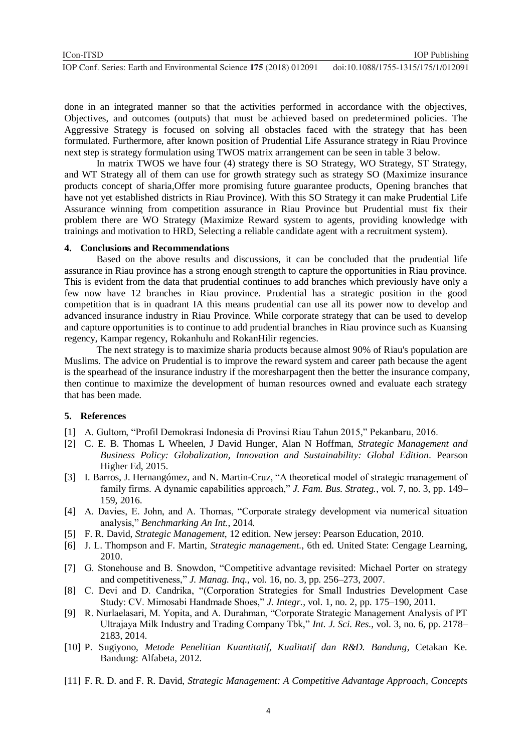done in an integrated manner so that the activities performed in accordance with the objectives, Objectives, and outcomes (outputs) that must be achieved based on predetermined policies. The Aggressive Strategy is focused on solving all obstacles faced with the strategy that has been formulated. Furthermore, after known position of Prudential Life Assurance strategy in Riau Province next step is strategy formulation using TWOS matrix arrangement can be seen in table 3 below.

In matrix TWOS we have four (4) strategy there is SO Strategy, WO Strategy, ST Strategy, and WT Strategy all of them can use for growth strategy such as strategy SO (Maximize insurance products concept of sharia,Offer more promising future guarantee products, Opening branches that have not yet established districts in Riau Province). With this SO Strategy it can make Prudential Life Assurance winning from competition assurance in Riau Province but Prudential must fix their problem there are WO Strategy (Maximize Reward system to agents, providing knowledge with trainings and motivation to HRD, Selecting a reliable candidate agent with a recruitment system).

#### **4. Conclusions and Recommendations**

Based on the above results and discussions, it can be concluded that the prudential life assurance in Riau province has a strong enough strength to capture the opportunities in Riau province. This is evident from the data that prudential continues to add branches which previously have only a few now have 12 branches in Riau province. Prudential has a strategic position in the good competition that is in quadrant IA this means prudential can use all its power now to develop and advanced insurance industry in Riau Province. While corporate strategy that can be used to develop and capture opportunities is to continue to add prudential branches in Riau province such as Kuansing regency, Kampar regency, Rokanhulu and RokanHilir regencies.

The next strategy is to maximize sharia products because almost 90% of Riau's population are Muslims. The advice on Prudential is to improve the reward system and career path because the agent is the spearhead of the insurance industry if the moresharpagent then the better the insurance company, then continue to maximize the development of human resources owned and evaluate each strategy that has been made.

### **5. References**

- [1] A. Gultom, "Profil Demokrasi Indonesia di Provinsi Riau Tahun 2015," Pekanbaru, 2016.
- [2] C. E. B. Thomas L Wheelen, J David Hunger, Alan N Hoffman, *Strategic Management and Business Policy: Globalization, Innovation and Sustainability: Global Edition*. Pearson Higher Ed, 2015.
- [3] I. Barros, J. Hernangómez, and N. Martin-Cruz, "A theoretical model of strategic management of family firms. A dynamic capabilities approach," *J. Fam. Bus. Strateg.*, vol. 7, no. 3, pp. 149– 159, 2016.
- [4] A. Davies, E. John, and A. Thomas, "Corporate strategy development via numerical situation analysis," *Benchmarking An Int.*, 2014.
- [5] F. R. David, *Strategic Management*, 12 edition. New jersey: Pearson Education, 2010.
- [6] J. L. Thompson and F. Martin, *Strategic management.*, 6th ed. United State: Cengage Learning, 2010.
- [7] G. Stonehouse and B. Snowdon, "Competitive advantage revisited: Michael Porter on strategy and competitiveness," *J. Manag. Inq.*, vol. 16, no. 3, pp. 256–273, 2007.
- [8] C. Devi and D. Candrika, "(Corporation Strategies for Small Industries Development Case Study: CV. Mimosabi Handmade Shoes," *J. Integr.*, vol. 1, no. 2, pp. 175–190, 2011.
- [9] R. Nurlaelasari, M. Yopita, and A. Durahman, "Corporate Strategic Management Analysis of PT Ultrajaya Milk Industry and Trading Company Tbk," *Int. J. Sci. Res.*, vol. 3, no. 6, pp. 2178– 2183, 2014.
- [10] P. Sugiyono, *Metode Penelitian Kuantitatif, Kualitatif dan R&D. Bandung*, Cetakan Ke. Bandung: Alfabeta, 2012.
- [11] F. R. D. and F. R. David, *Strategic Management: A Competitive Advantage Approach, Concepts*